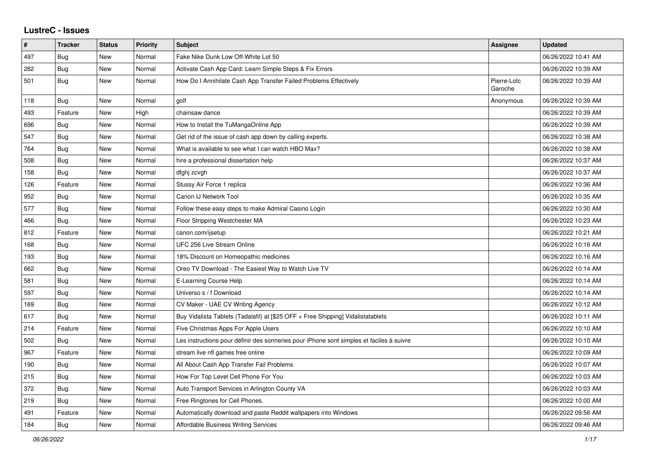## **LustreC - Issues**

| $\pmb{\#}$ | <b>Tracker</b> | <b>Status</b> | <b>Priority</b> | <b>Subject</b>                                                                           | <b>Assignee</b>        | Updated             |
|------------|----------------|---------------|-----------------|------------------------------------------------------------------------------------------|------------------------|---------------------|
| 497        | <b>Bug</b>     | New           | Normal          | Fake Nike Dunk Low Off-White Lot 50                                                      |                        | 06/26/2022 10:41 AM |
| 282        | Bug            | <b>New</b>    | Normal          | Activate Cash App Card: Learn Simple Steps & Fix Errors                                  |                        | 06/26/2022 10:39 AM |
| 501        | Bug            | New           | Normal          | How Do I Annihilate Cash App Transfer Failed Problems Effectively                        | Pierre-Loïc<br>Garoche | 06/26/2022 10:39 AM |
| 118        | <b>Bug</b>     | New           | Normal          | golf                                                                                     | Anonymous              | 06/26/2022 10:39 AM |
| 493        | Feature        | New           | High            | chainsaw dance                                                                           |                        | 06/26/2022 10:39 AM |
| 696        | Bug            | New           | Normal          | How to Install the TuMangaOnline App                                                     |                        | 06/26/2022 10:39 AM |
| 547        | <b>Bug</b>     | New           | Normal          | Get rid of the issue of cash app down by calling experts.                                |                        | 06/26/2022 10:38 AM |
| 764        | <b>Bug</b>     | New           | Normal          | What is available to see what I can watch HBO Max?                                       |                        | 06/26/2022 10:38 AM |
| 508        | Bug            | New           | Normal          | hire a professional dissertation help                                                    |                        | 06/26/2022 10:37 AM |
| 158        | Bug            | <b>New</b>    | Normal          | dfghj zcvgh                                                                              |                        | 06/26/2022 10:37 AM |
| 126        | Feature        | New           | Normal          | Stussy Air Force 1 replica                                                               |                        | 06/26/2022 10:36 AM |
| 952        | Bug            | New           | Normal          | Canon IJ Network Tool                                                                    |                        | 06/26/2022 10:35 AM |
| 577        | Bug            | New           | Normal          | Follow these easy steps to make Admiral Casino Login                                     |                        | 06/26/2022 10:30 AM |
| 466        | Bug            | New           | Normal          | Floor Stripping Westchester MA                                                           |                        | 06/26/2022 10:23 AM |
| 812        | Feature        | New           | Normal          | canon.com/ijsetup                                                                        |                        | 06/26/2022 10:21 AM |
| 168        | <b>Bug</b>     | <b>New</b>    | Normal          | <b>UFC 256 Live Stream Online</b>                                                        |                        | 06/26/2022 10:16 AM |
| 193        | <b>Bug</b>     | <b>New</b>    | Normal          | 18% Discount on Homeopathic medicines                                                    |                        | 06/26/2022 10:16 AM |
| 662        | <b>Bug</b>     | <b>New</b>    | Normal          | Oreo TV Download - The Easiest Way to Watch Live TV                                      |                        | 06/26/2022 10:14 AM |
| 581        | <b>Bug</b>     | New           | Normal          | E-Learning Course Help                                                                   |                        | 06/26/2022 10:14 AM |
| 597        | Bug            | New           | Normal          | Universo s / f Download                                                                  |                        | 06/26/2022 10:14 AM |
| 169        | Bug            | New           | Normal          | CV Maker - UAE CV Writing Agency                                                         |                        | 06/26/2022 10:12 AM |
| 617        | <b>Bug</b>     | <b>New</b>    | Normal          | Buy Vidalista Tablets (Tadalafil) at [\$25 OFF + Free Shipping] Vidalistatablets         |                        | 06/26/2022 10:11 AM |
| 214        | Feature        | New           | Normal          | Five Christmas Apps For Apple Users                                                      |                        | 06/26/2022 10:10 AM |
| 502        | Bug            | <b>New</b>    | Normal          | Les instructions pour définir des sonneries pour iPhone sont simples et faciles à suivre |                        | 06/26/2022 10:10 AM |
| 967        | Feature        | New           | Normal          | stream live nfl games free online                                                        |                        | 06/26/2022 10:09 AM |
| 190        | <b>Bug</b>     | New           | Normal          | All About Cash App Transfer Fail Problems                                                |                        | 06/26/2022 10:07 AM |
| 215        | <b>Bug</b>     | New           | Normal          | How For Top Level Cell Phone For You                                                     |                        | 06/26/2022 10:03 AM |
| 372        | <b>Bug</b>     | <b>New</b>    | Normal          | Auto Transport Services in Arlington County VA                                           |                        | 06/26/2022 10:03 AM |
| 219        | Bug            | <b>New</b>    | Normal          | Free Ringtones for Cell Phones.                                                          |                        | 06/26/2022 10:00 AM |
| 491        | Feature        | New           | Normal          | Automatically download and paste Reddit wallpapers into Windows                          |                        | 06/26/2022 09:56 AM |
| 184        | <b>Bug</b>     | New           | Normal          | Affordable Business Writing Services                                                     |                        | 06/26/2022 09:46 AM |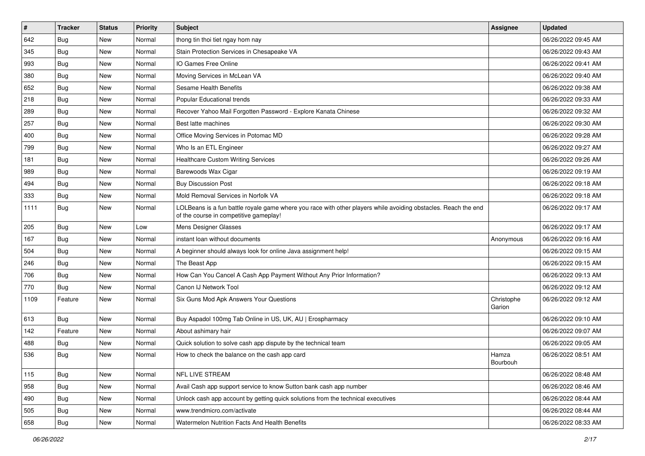| $\sharp$ | <b>Tracker</b> | <b>Status</b> | <b>Priority</b> | Subject                                                                                                                                                  | <b>Assignee</b>      | <b>Updated</b>      |
|----------|----------------|---------------|-----------------|----------------------------------------------------------------------------------------------------------------------------------------------------------|----------------------|---------------------|
| 642      | <b>Bug</b>     | New           | Normal          | thong tin thoi tiet ngay hom nay                                                                                                                         |                      | 06/26/2022 09:45 AM |
| 345      | Bug            | New           | Normal          | Stain Protection Services in Chesapeake VA                                                                                                               |                      | 06/26/2022 09:43 AM |
| 993      | Bug            | New           | Normal          | IO Games Free Online                                                                                                                                     |                      | 06/26/2022 09:41 AM |
| 380      | Bug            | New           | Normal          | Moving Services in McLean VA                                                                                                                             |                      | 06/26/2022 09:40 AM |
| 652      | Bug            | New           | Normal          | Sesame Health Benefits                                                                                                                                   |                      | 06/26/2022 09:38 AM |
| 218      | Bug            | New           | Normal          | Popular Educational trends                                                                                                                               |                      | 06/26/2022 09:33 AM |
| 289      | Bug            | New           | Normal          | Recover Yahoo Mail Forgotten Password - Explore Kanata Chinese                                                                                           |                      | 06/26/2022 09:32 AM |
| 257      | <b>Bug</b>     | New           | Normal          | Best latte machines                                                                                                                                      |                      | 06/26/2022 09:30 AM |
| 400      | Bug            | New           | Normal          | Office Moving Services in Potomac MD                                                                                                                     |                      | 06/26/2022 09:28 AM |
| 799      | <b>Bug</b>     | New           | Normal          | Who Is an ETL Engineer                                                                                                                                   |                      | 06/26/2022 09:27 AM |
| 181      | <b>Bug</b>     | New           | Normal          | <b>Healthcare Custom Writing Services</b>                                                                                                                |                      | 06/26/2022 09:26 AM |
| 989      | Bug            | New           | Normal          | Barewoods Wax Cigar                                                                                                                                      |                      | 06/26/2022 09:19 AM |
| 494      | Bug            | New           | Normal          | <b>Buy Discussion Post</b>                                                                                                                               |                      | 06/26/2022 09:18 AM |
| 333      | Bug            | New           | Normal          | Mold Removal Services in Norfolk VA                                                                                                                      |                      | 06/26/2022 09:18 AM |
| 1111     | <b>Bug</b>     | New           | Normal          | LOLBeans is a fun battle royale game where you race with other players while avoiding obstacles. Reach the end<br>of the course in competitive gameplay! |                      | 06/26/2022 09:17 AM |
| 205      | <b>Bug</b>     | <b>New</b>    | Low             | Mens Designer Glasses                                                                                                                                    |                      | 06/26/2022 09:17 AM |
| 167      | Bug            | New           | Normal          | instant loan without documents                                                                                                                           | Anonymous            | 06/26/2022 09:16 AM |
| 504      | <b>Bug</b>     | New           | Normal          | A beginner should always look for online Java assignment help!                                                                                           |                      | 06/26/2022 09:15 AM |
| 246      | Bug            | New           | Normal          | The Beast App                                                                                                                                            |                      | 06/26/2022 09:15 AM |
| 706      | Bug            | New           | Normal          | How Can You Cancel A Cash App Payment Without Any Prior Information?                                                                                     |                      | 06/26/2022 09:13 AM |
| 770      | <b>Bug</b>     | New           | Normal          | Canon IJ Network Tool                                                                                                                                    |                      | 06/26/2022 09:12 AM |
| 1109     | Feature        | New           | Normal          | Six Guns Mod Apk Answers Your Questions                                                                                                                  | Christophe<br>Garion | 06/26/2022 09:12 AM |
| 613      | Bug            | <b>New</b>    | Normal          | Buy Aspadol 100mg Tab Online in US, UK, AU   Erospharmacy                                                                                                |                      | 06/26/2022 09:10 AM |
| 142      | Feature        | <b>New</b>    | Normal          | About ashimary hair                                                                                                                                      |                      | 06/26/2022 09:07 AM |
| 488      | <b>Bug</b>     | New           | Normal          | Quick solution to solve cash app dispute by the technical team                                                                                           |                      | 06/26/2022 09:05 AM |
| 536      | <b>Bug</b>     | New           | Normal          | How to check the balance on the cash app card                                                                                                            | Hamza<br>Bourbouh    | 06/26/2022 08:51 AM |
| 115      | <b>Bug</b>     | New           | Normal          | NFL LIVE STREAM                                                                                                                                          |                      | 06/26/2022 08:48 AM |
| 958      | <b>Bug</b>     | New           | Normal          | Avail Cash app support service to know Sutton bank cash app number                                                                                       |                      | 06/26/2022 08:46 AM |
| 490      | <b>Bug</b>     | New           | Normal          | Unlock cash app account by getting quick solutions from the technical executives                                                                         |                      | 06/26/2022 08:44 AM |
| 505      | <b>Bug</b>     | New           | Normal          | www.trendmicro.com/activate                                                                                                                              |                      | 06/26/2022 08:44 AM |
| 658      | <b>Bug</b>     | New           | Normal          | Watermelon Nutrition Facts And Health Benefits                                                                                                           |                      | 06/26/2022 08:33 AM |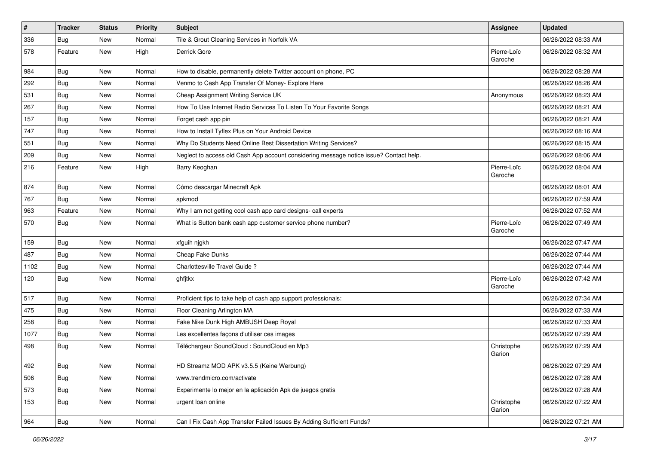| $\vert$ # | <b>Tracker</b> | <b>Status</b> | Priority | <b>Subject</b>                                                                         | Assignee               | <b>Updated</b>      |
|-----------|----------------|---------------|----------|----------------------------------------------------------------------------------------|------------------------|---------------------|
| 336       | <b>Bug</b>     | New           | Normal   | Tile & Grout Cleaning Services in Norfolk VA                                           |                        | 06/26/2022 08:33 AM |
| 578       | Feature        | New           | High     | Derrick Gore                                                                           | Pierre-Loïc<br>Garoche | 06/26/2022 08:32 AM |
| 984       | Bug            | New           | Normal   | How to disable, permanently delete Twitter account on phone, PC                        |                        | 06/26/2022 08:28 AM |
| 292       | Bug            | New           | Normal   | Venmo to Cash App Transfer Of Money- Explore Here                                      |                        | 06/26/2022 08:26 AM |
| 531       | Bug            | New           | Normal   | Cheap Assignment Writing Service UK                                                    | Anonymous              | 06/26/2022 08:23 AM |
| 267       | <b>Bug</b>     | New           | Normal   | How To Use Internet Radio Services To Listen To Your Favorite Songs                    |                        | 06/26/2022 08:21 AM |
| 157       | <b>Bug</b>     | New           | Normal   | Forget cash app pin                                                                    |                        | 06/26/2022 08:21 AM |
| 747       | <b>Bug</b>     | New           | Normal   | How to Install Tyflex Plus on Your Android Device                                      |                        | 06/26/2022 08:16 AM |
| 551       | Bug            | New           | Normal   | Why Do Students Need Online Best Dissertation Writing Services?                        |                        | 06/26/2022 08:15 AM |
| 209       | Bug            | New           | Normal   | Neglect to access old Cash App account considering message notice issue? Contact help. |                        | 06/26/2022 08:06 AM |
| 216       | Feature        | New           | High     | Barry Keoghan                                                                          | Pierre-Loïc<br>Garoche | 06/26/2022 08:04 AM |
| 874       | Bug            | New           | Normal   | Cómo descargar Minecraft Apk                                                           |                        | 06/26/2022 08:01 AM |
| 767       | Bug            | New           | Normal   | apkmod                                                                                 |                        | 06/26/2022 07:59 AM |
| 963       | Feature        | New           | Normal   | Why I am not getting cool cash app card designs- call experts                          |                        | 06/26/2022 07:52 AM |
| 570       | <b>Bug</b>     | New           | Normal   | What is Sutton bank cash app customer service phone number?                            | Pierre-Loïc<br>Garoche | 06/26/2022 07:49 AM |
| 159       | <b>Bug</b>     | New           | Normal   | xfguih njgkh                                                                           |                        | 06/26/2022 07:47 AM |
| 487       | <b>Bug</b>     | New           | Normal   | Cheap Fake Dunks                                                                       |                        | 06/26/2022 07:44 AM |
| 1102      | Bug            | New           | Normal   | Charlottesville Travel Guide?                                                          |                        | 06/26/2022 07:44 AM |
| 120       | <b>Bug</b>     | New           | Normal   | ghfjtkx                                                                                | Pierre-Loïc<br>Garoche | 06/26/2022 07:42 AM |
| 517       | i Bug          | New           | Normal   | Proficient tips to take help of cash app support professionals:                        |                        | 06/26/2022 07:34 AM |
| 475       | <b>Bug</b>     | New           | Normal   | Floor Cleaning Arlington MA                                                            |                        | 06/26/2022 07:33 AM |
| 258       | Bug            | New           | Normal   | Fake Nike Dunk High AMBUSH Deep Royal                                                  |                        | 06/26/2022 07:33 AM |
| 1077      | Bug            | New           | Normal   | Les excellentes façons d'utiliser ces images                                           |                        | 06/26/2022 07:29 AM |
| 498       | Bug            | New           | Normal   | Téléchargeur SoundCloud : SoundCloud en Mp3                                            | Christophe<br>Garion   | 06/26/2022 07:29 AM |
| 492       | <b>Bug</b>     | New           | Normal   | HD Streamz MOD APK v3.5.5 (Keine Werbung)                                              |                        | 06/26/2022 07:29 AM |
| 506       | <b>Bug</b>     | New           | Normal   | www.trendmicro.com/activate                                                            |                        | 06/26/2022 07:28 AM |
| 573       | <b>Bug</b>     | New           | Normal   | Experimente lo mejor en la aplicación Apk de juegos gratis                             |                        | 06/26/2022 07:28 AM |
| 153       | <b>Bug</b>     | New           | Normal   | urgent loan online                                                                     | Christophe<br>Garion   | 06/26/2022 07:22 AM |
| 964       | <b>Bug</b>     | New           | Normal   | Can I Fix Cash App Transfer Failed Issues By Adding Sufficient Funds?                  |                        | 06/26/2022 07:21 AM |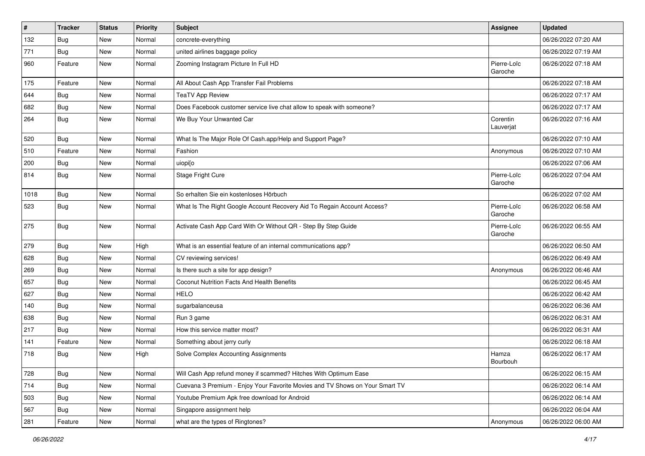| $\vert$ # | <b>Tracker</b> | <b>Status</b> | <b>Priority</b> | <b>Subject</b>                                                               | Assignee               | <b>Updated</b>      |
|-----------|----------------|---------------|-----------------|------------------------------------------------------------------------------|------------------------|---------------------|
| 132       | <b>Bug</b>     | New           | Normal          | concrete-everything                                                          |                        | 06/26/2022 07:20 AM |
| 771       | <b>Bug</b>     | New           | Normal          | united airlines baggage policy                                               |                        | 06/26/2022 07:19 AM |
| 960       | Feature        | New           | Normal          | Zooming Instagram Picture In Full HD                                         | Pierre-Loïc<br>Garoche | 06/26/2022 07:18 AM |
| 175       | Feature        | New           | Normal          | All About Cash App Transfer Fail Problems                                    |                        | 06/26/2022 07:18 AM |
| 644       | Bug            | New           | Normal          | <b>TeaTV App Review</b>                                                      |                        | 06/26/2022 07:17 AM |
| 682       | Bug            | New           | Normal          | Does Facebook customer service live chat allow to speak with someone?        |                        | 06/26/2022 07:17 AM |
| 264       | <b>Bug</b>     | <b>New</b>    | Normal          | We Buy Your Unwanted Car                                                     | Corentin<br>Lauverjat  | 06/26/2022 07:16 AM |
| 520       | <b>Bug</b>     | New           | Normal          | What Is The Major Role Of Cash.app/Help and Support Page?                    |                        | 06/26/2022 07:10 AM |
| 510       | Feature        | New           | Normal          | Fashion                                                                      | Anonymous              | 06/26/2022 07:10 AM |
| 200       | <b>Bug</b>     | New           | Normal          | uiopi[o                                                                      |                        | 06/26/2022 07:06 AM |
| 814       | <b>Bug</b>     | New           | Normal          | Stage Fright Cure                                                            | Pierre-Loïc<br>Garoche | 06/26/2022 07:04 AM |
| 1018      | Bug            | New           | Normal          | So erhalten Sie ein kostenloses Hörbuch                                      |                        | 06/26/2022 07:02 AM |
| 523       | <b>Bug</b>     | New           | Normal          | What Is The Right Google Account Recovery Aid To Regain Account Access?      | Pierre-Loïc<br>Garoche | 06/26/2022 06:58 AM |
| 275       | Bug            | New           | Normal          | Activate Cash App Card With Or Without QR - Step By Step Guide               | Pierre-Loïc<br>Garoche | 06/26/2022 06:55 AM |
| 279       | Bug            | New           | High            | What is an essential feature of an internal communications app?              |                        | 06/26/2022 06:50 AM |
| 628       | <b>Bug</b>     | New           | Normal          | CV reviewing services!                                                       |                        | 06/26/2022 06:49 AM |
| 269       | Bug            | New           | Normal          | Is there such a site for app design?                                         | Anonymous              | 06/26/2022 06:46 AM |
| 657       | <b>Bug</b>     | New           | Normal          | Coconut Nutrition Facts And Health Benefits                                  |                        | 06/26/2022 06:45 AM |
| 627       | Bug            | New           | Normal          | <b>HELO</b>                                                                  |                        | 06/26/2022 06:42 AM |
| 140       | Bug            | New           | Normal          | sugarbalanceusa                                                              |                        | 06/26/2022 06:36 AM |
| 638       | Bug            | New           | Normal          | Run 3 game                                                                   |                        | 06/26/2022 06:31 AM |
| 217       | Bug            | New           | Normal          | How this service matter most?                                                |                        | 06/26/2022 06:31 AM |
| 141       | Feature        | New           | Normal          | Something about jerry curly                                                  |                        | 06/26/2022 06:18 AM |
| 718       | <b>Bug</b>     | New           | High            | Solve Complex Accounting Assignments                                         | Hamza<br>Bourbouh      | 06/26/2022 06:17 AM |
| 728       | Bug            | New           | Normal          | Will Cash App refund money if scammed? Hitches With Optimum Ease             |                        | 06/26/2022 06:15 AM |
| 714       | Bug            | New           | Normal          | Cuevana 3 Premium - Enjoy Your Favorite Movies and TV Shows on Your Smart TV |                        | 06/26/2022 06:14 AM |
| 503       | Bug            | New           | Normal          | Youtube Premium Apk free download for Android                                |                        | 06/26/2022 06:14 AM |
| 567       | <b>Bug</b>     | New           | Normal          | Singapore assignment help                                                    |                        | 06/26/2022 06:04 AM |
| 281       | Feature        | New           | Normal          | what are the types of Ringtones?                                             | Anonymous              | 06/26/2022 06:00 AM |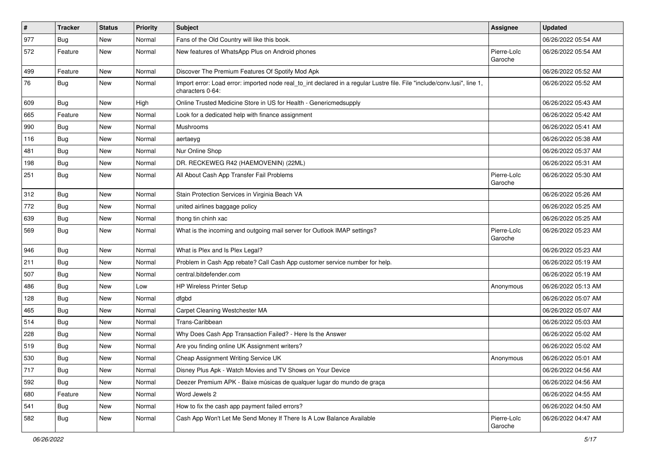| $\vert$ # | <b>Tracker</b> | <b>Status</b> | <b>Priority</b> | <b>Subject</b>                                                                                                                               | Assignee               | <b>Updated</b>      |
|-----------|----------------|---------------|-----------------|----------------------------------------------------------------------------------------------------------------------------------------------|------------------------|---------------------|
| 977       | <b>Bug</b>     | New           | Normal          | Fans of the Old Country will like this book.                                                                                                 |                        | 06/26/2022 05:54 AM |
| 572       | Feature        | New           | Normal          | New features of WhatsApp Plus on Android phones                                                                                              | Pierre-Loïc<br>Garoche | 06/26/2022 05:54 AM |
| 499       | Feature        | New           | Normal          | Discover The Premium Features Of Spotify Mod Apk                                                                                             |                        | 06/26/2022 05:52 AM |
| 76        | Bug            | New           | Normal          | Import error: Load error: imported node real_to_int declared in a regular Lustre file. File "include/conv.lusi", line 1,<br>characters 0-64: |                        | 06/26/2022 05:52 AM |
| 609       | <b>Bug</b>     | New           | High            | Online Trusted Medicine Store in US for Health - Genericmedsupply                                                                            |                        | 06/26/2022 05:43 AM |
| 665       | Feature        | New           | Normal          | Look for a dedicated help with finance assignment                                                                                            |                        | 06/26/2022 05:42 AM |
| 990       | <b>Bug</b>     | New           | Normal          | Mushrooms                                                                                                                                    |                        | 06/26/2022 05:41 AM |
| 116       | Bug            | New           | Normal          | aertaeyg                                                                                                                                     |                        | 06/26/2022 05:38 AM |
| 481       | Bug            | New           | Normal          | Nur Online Shop                                                                                                                              |                        | 06/26/2022 05:37 AM |
| 198       | Bug            | New           | Normal          | DR. RECKEWEG R42 (HAEMOVENIN) (22ML)                                                                                                         |                        | 06/26/2022 05:31 AM |
| 251       | Bug            | <b>New</b>    | Normal          | All About Cash App Transfer Fail Problems                                                                                                    | Pierre-Loïc<br>Garoche | 06/26/2022 05:30 AM |
| 312       | Bug            | New           | Normal          | Stain Protection Services in Virginia Beach VA                                                                                               |                        | 06/26/2022 05:26 AM |
| 772       | Bug            | New           | Normal          | united airlines baggage policy                                                                                                               |                        | 06/26/2022 05:25 AM |
| 639       | Bug            | <b>New</b>    | Normal          | thong tin chinh xac                                                                                                                          |                        | 06/26/2022 05:25 AM |
| 569       | Bug            | New           | Normal          | What is the incoming and outgoing mail server for Outlook IMAP settings?                                                                     | Pierre-Loïc<br>Garoche | 06/26/2022 05:23 AM |
| 946       | Bug            | New           | Normal          | What is Plex and Is Plex Legal?                                                                                                              |                        | 06/26/2022 05:23 AM |
| 211       | Bug            | New           | Normal          | Problem in Cash App rebate? Call Cash App customer service number for help.                                                                  |                        | 06/26/2022 05:19 AM |
| 507       | Bug            | New           | Normal          | central.bitdefender.com                                                                                                                      |                        | 06/26/2022 05:19 AM |
| 486       | Bug            | New           | Low             | <b>HP Wireless Printer Setup</b>                                                                                                             | Anonymous              | 06/26/2022 05:13 AM |
| 128       | <b>Bug</b>     | New           | Normal          | dfgbd                                                                                                                                        |                        | 06/26/2022 05:07 AM |
| 465       | <b>Bug</b>     | <b>New</b>    | Normal          | Carpet Cleaning Westchester MA                                                                                                               |                        | 06/26/2022 05:07 AM |
| 514       | Bug            | New           | Normal          | Trans-Caribbean                                                                                                                              |                        | 06/26/2022 05:03 AM |
| 228       | Bug            | New           | Normal          | Why Does Cash App Transaction Failed? - Here Is the Answer                                                                                   |                        | 06/26/2022 05:02 AM |
| 519       | <b>Bug</b>     | New           | Normal          | Are you finding online UK Assignment writers?                                                                                                |                        | 06/26/2022 05:02 AM |
| 530       | <b>Bug</b>     | New           | Normal          | Cheap Assignment Writing Service UK                                                                                                          | Anonymous              | 06/26/2022 05:01 AM |
| 717       | <b>Bug</b>     | New           | Normal          | Disney Plus Apk - Watch Movies and TV Shows on Your Device                                                                                   |                        | 06/26/2022 04:56 AM |
| 592       | <b>Bug</b>     | New           | Normal          | Deezer Premium APK - Baixe músicas de qualquer lugar do mundo de graça                                                                       |                        | 06/26/2022 04:56 AM |
| 680       | Feature        | New           | Normal          | Word Jewels 2                                                                                                                                |                        | 06/26/2022 04:55 AM |
| 541       | <b>Bug</b>     | New           | Normal          | How to fix the cash app payment failed errors?                                                                                               |                        | 06/26/2022 04:50 AM |
| 582       | Bug            | New           | Normal          | Cash App Won't Let Me Send Money If There Is A Low Balance Available                                                                         | Pierre-Loïc<br>Garoche | 06/26/2022 04:47 AM |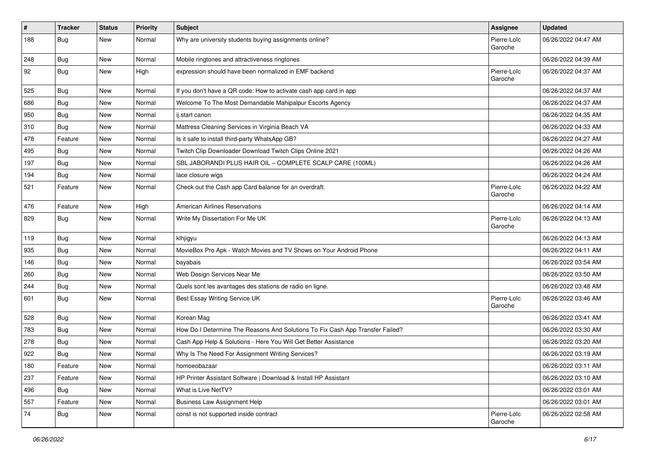| $\vert$ # | <b>Tracker</b> | <b>Status</b> | <b>Priority</b> | Subject                                                                       | Assignee               | <b>Updated</b>      |
|-----------|----------------|---------------|-----------------|-------------------------------------------------------------------------------|------------------------|---------------------|
| 188       | <b>Bug</b>     | New           | Normal          | Why are university students buying assignments online?                        | Pierre-Loïc<br>Garoche | 06/26/2022 04:47 AM |
| 248       | <b>Bug</b>     | New           | Normal          | Mobile ringtones and attractiveness ringtones                                 |                        | 06/26/2022 04:39 AM |
| 92        | <b>Bug</b>     | New           | High            | expression should have been normalized in EMF backend                         | Pierre-Loïc<br>Garoche | 06/26/2022 04:37 AM |
| 525       | Bug            | New           | Normal          | If you don't have a QR code: How to activate cash app card in app             |                        | 06/26/2022 04:37 AM |
| 686       | <b>Bug</b>     | New           | Normal          | Welcome To The Most Demandable Mahipalpur Escorts Agency                      |                        | 06/26/2022 04:37 AM |
| 950       | Bug            | New           | Normal          | ij.start canon                                                                |                        | 06/26/2022 04:35 AM |
| 310       | <b>Bug</b>     | New           | Normal          | Mattress Cleaning Services in Virginia Beach VA                               |                        | 06/26/2022 04:33 AM |
| 478       | Feature        | New           | Normal          | Is it safe to install third-party WhatsApp GB?                                |                        | 06/26/2022 04:27 AM |
| 495       | Bug            | New           | Normal          | Twitch Clip Downloader Download Twitch Clips Online 2021                      |                        | 06/26/2022 04:26 AM |
| 197       | <b>Bug</b>     | New           | Normal          | SBL JABORANDI PLUS HAIR OIL - COMPLETE SCALP CARE (100ML)                     |                        | 06/26/2022 04:26 AM |
| 194       | <b>Bug</b>     | New           | Normal          | lace closure wigs                                                             |                        | 06/26/2022 04:24 AM |
| 521       | Feature        | New           | Normal          | Check out the Cash app Card balance for an overdraft.                         | Pierre-Loïc<br>Garoche | 06/26/2022 04:22 AM |
| 476       | Feature        | New           | High            | <b>American Airlines Reservations</b>                                         |                        | 06/26/2022 04:14 AM |
| 829       | Bug            | New           | Normal          | Write My Dissertation For Me UK                                               | Pierre-Loïc<br>Garoche | 06/26/2022 04:13 AM |
| 119       | <b>Bug</b>     | New           | Normal          | klhjigyu                                                                      |                        | 06/26/2022 04:13 AM |
| 935       | <b>Bug</b>     | New           | Normal          | MovieBox Pro Apk - Watch Movies and TV Shows on Your Android Phone            |                        | 06/26/2022 04:11 AM |
| 146       | Bug            | New           | Normal          | bayabais                                                                      |                        | 06/26/2022 03:54 AM |
| 260       | <b>Bug</b>     | New           | Normal          | Web Design Services Near Me                                                   |                        | 06/26/2022 03:50 AM |
| 244       | Bug            | New           | Normal          | Quels sont les avantages des stations de radio en ligne.                      |                        | 06/26/2022 03:48 AM |
| 601       | Bug            | New           | Normal          | Best Essay Writing Service UK                                                 | Pierre-Loïc<br>Garoche | 06/26/2022 03:46 AM |
| 528       | Bug            | New           | Normal          | Korean Mag                                                                    |                        | 06/26/2022 03:41 AM |
| 783       | <b>Bug</b>     | New           | Normal          | How Do I Determine The Reasons And Solutions To Fix Cash App Transfer Failed? |                        | 06/26/2022 03:30 AM |
| 278       | <b>Bug</b>     | New           | Normal          | Cash App Help & Solutions - Here You Will Get Better Assistance               |                        | 06/26/2022 03:20 AM |
| 922       | <b>Bug</b>     | New           | Normal          | Why Is The Need For Assignment Writing Services?                              |                        | 06/26/2022 03:19 AM |
| 180       | Feature        | New           | Normal          | homoeobazaar                                                                  |                        | 06/26/2022 03:11 AM |
| 237       | Feature        | New           | Normal          | HP Printer Assistant Software   Download & Install HP Assistant               |                        | 06/26/2022 03:10 AM |
| 496       | <b>Bug</b>     | New           | Normal          | What is Live NetTV?                                                           |                        | 06/26/2022 03:01 AM |
| 557       | Feature        | New           | Normal          | <b>Business Law Assignment Help</b>                                           |                        | 06/26/2022 03:01 AM |
| 74        | Bug            | New           | Normal          | const is not supported inside contract                                        | Pierre-Loïc<br>Garoche | 06/26/2022 02:58 AM |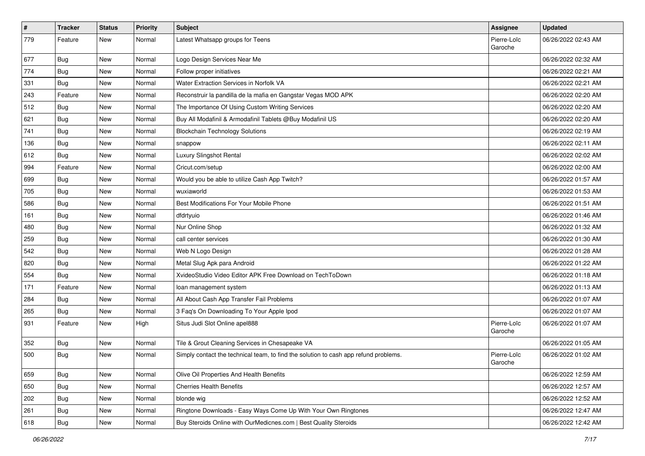| $\vert$ # | <b>Tracker</b> | <b>Status</b> | <b>Priority</b> | <b>Subject</b>                                                                       | <b>Assignee</b>        | <b>Updated</b>      |
|-----------|----------------|---------------|-----------------|--------------------------------------------------------------------------------------|------------------------|---------------------|
| 779       | Feature        | New           | Normal          | Latest Whatsapp groups for Teens                                                     | Pierre-Loïc<br>Garoche | 06/26/2022 02:43 AM |
| 677       | <b>Bug</b>     | New           | Normal          | Logo Design Services Near Me                                                         |                        | 06/26/2022 02:32 AM |
| 774       | <b>Bug</b>     | New           | Normal          | Follow proper initiatives                                                            |                        | 06/26/2022 02:21 AM |
| 331       | Bug            | New           | Normal          | Water Extraction Services in Norfolk VA                                              |                        | 06/26/2022 02:21 AM |
| 243       | Feature        | New           | Normal          | Reconstruir la pandilla de la mafia en Gangstar Vegas MOD APK                        |                        | 06/26/2022 02:20 AM |
| 512       | Bug            | New           | Normal          | The Importance Of Using Custom Writing Services                                      |                        | 06/26/2022 02:20 AM |
| 621       | Bug            | New           | Normal          | Buy All Modafinil & Armodafinil Tablets @Buy Modafinil US                            |                        | 06/26/2022 02:20 AM |
| 741       | Bug            | New           | Normal          | <b>Blockchain Technology Solutions</b>                                               |                        | 06/26/2022 02:19 AM |
| 136       | <b>Bug</b>     | New           | Normal          | snappow                                                                              |                        | 06/26/2022 02:11 AM |
| 612       | Bug            | New           | Normal          | Luxury Slingshot Rental                                                              |                        | 06/26/2022 02:02 AM |
| 994       | Feature        | New           | Normal          | Cricut.com/setup                                                                     |                        | 06/26/2022 02:00 AM |
| 699       | Bug            | New           | Normal          | Would you be able to utilize Cash App Twitch?                                        |                        | 06/26/2022 01:57 AM |
| 705       | <b>Bug</b>     | New           | Normal          | wuxiaworld                                                                           |                        | 06/26/2022 01:53 AM |
| 586       | Bug            | New           | Normal          | Best Modifications For Your Mobile Phone                                             |                        | 06/26/2022 01:51 AM |
| 161       | Bug            | New           | Normal          | dfdrtyuio                                                                            |                        | 06/26/2022 01:46 AM |
| 480       | Bug            | New           | Normal          | Nur Online Shop                                                                      |                        | 06/26/2022 01:32 AM |
| 259       | Bug            | New           | Normal          | call center services                                                                 |                        | 06/26/2022 01:30 AM |
| 542       | Bug            | New           | Normal          | Web N Logo Design                                                                    |                        | 06/26/2022 01:28 AM |
| 820       | Bug            | New           | Normal          | Metal Slug Apk para Android                                                          |                        | 06/26/2022 01:22 AM |
| 554       | <b>Bug</b>     | New           | Normal          | XvideoStudio Video Editor APK Free Download on TechToDown                            |                        | 06/26/2022 01:18 AM |
| 171       | Feature        | New           | Normal          | loan management system                                                               |                        | 06/26/2022 01:13 AM |
| 284       | Bug            | New           | Normal          | All About Cash App Transfer Fail Problems                                            |                        | 06/26/2022 01:07 AM |
| 265       | <b>Bug</b>     | New           | Normal          | 3 Faq's On Downloading To Your Apple Ipod                                            |                        | 06/26/2022 01:07 AM |
| 931       | Feature        | New           | High            | Situs Judi Slot Online apel888                                                       | Pierre-Loïc<br>Garoche | 06/26/2022 01:07 AM |
| 352       | Bug            | New           | Normal          | Tile & Grout Cleaning Services in Chesapeake VA                                      |                        | 06/26/2022 01:05 AM |
| 500       | <b>Bug</b>     | <b>New</b>    | Normal          | Simply contact the technical team, to find the solution to cash app refund problems. | Pierre-Loïc<br>Garoche | 06/26/2022 01:02 AM |
| 659       | <b>Bug</b>     | New           | Normal          | Olive Oil Properties And Health Benefits                                             |                        | 06/26/2022 12:59 AM |
| 650       | <b>Bug</b>     | New           | Normal          | <b>Cherries Health Benefits</b>                                                      |                        | 06/26/2022 12:57 AM |
| 202       | Bug            | New           | Normal          | blonde wig                                                                           |                        | 06/26/2022 12:52 AM |
| 261       | <b>Bug</b>     | New           | Normal          | Ringtone Downloads - Easy Ways Come Up With Your Own Ringtones                       |                        | 06/26/2022 12:47 AM |
| 618       | Bug            | New           | Normal          | Buy Steroids Online with OurMedicnes.com   Best Quality Steroids                     |                        | 06/26/2022 12:42 AM |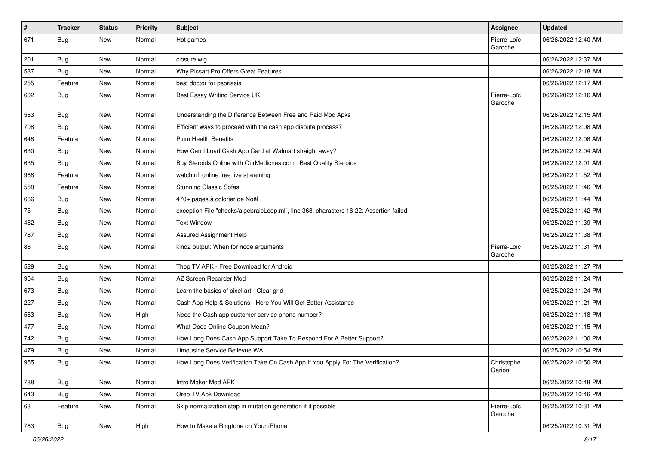| $\pmb{\#}$ | <b>Tracker</b> | <b>Status</b> | <b>Priority</b> | Subject                                                                                | <b>Assignee</b>        | <b>Updated</b>      |
|------------|----------------|---------------|-----------------|----------------------------------------------------------------------------------------|------------------------|---------------------|
| 671        | <b>Bug</b>     | New           | Normal          | Hot games                                                                              | Pierre-Loïc<br>Garoche | 06/26/2022 12:40 AM |
| 201        | <b>Bug</b>     | New           | Normal          | closure wig                                                                            |                        | 06/26/2022 12:37 AM |
| 587        | <b>Bug</b>     | New           | Normal          | Why Picsart Pro Offers Great Features                                                  |                        | 06/26/2022 12:18 AM |
| 255        | Feature        | New           | Normal          | best doctor for psoriasis                                                              |                        | 06/26/2022 12:17 AM |
| 602        | Bug            | New           | Normal          | Best Essay Writing Service UK                                                          | Pierre-Loïc<br>Garoche | 06/26/2022 12:16 AM |
| 563        | Bug            | New           | Normal          | Understanding the Difference Between Free and Paid Mod Apks                            |                        | 06/26/2022 12:15 AM |
| 708        | Bug            | New           | Normal          | Efficient ways to proceed with the cash app dispute process?                           |                        | 06/26/2022 12:08 AM |
| 648        | Feature        | New           | Normal          | <b>Plum Health Benefits</b>                                                            |                        | 06/26/2022 12:08 AM |
| 630        | Bug            | New           | Normal          | How Can I Load Cash App Card at Walmart straight away?                                 |                        | 06/26/2022 12:04 AM |
| 635        | Bug            | New           | Normal          | Buy Steroids Online with OurMedicnes.com   Best Quality Steroids                       |                        | 06/26/2022 12:01 AM |
| 968        | Feature        | New           | Normal          | watch nfl online free live streaming                                                   |                        | 06/25/2022 11:52 PM |
| 558        | Feature        | New           | Normal          | <b>Stunning Classic Sofas</b>                                                          |                        | 06/25/2022 11:46 PM |
| 666        | <b>Bug</b>     | New           | Normal          | 470+ pages à colorier de Noël                                                          |                        | 06/25/2022 11:44 PM |
| 75         | <b>Bug</b>     | New           | Normal          | exception File "checks/algebraicLoop.ml", line 368, characters 16-22: Assertion failed |                        | 06/25/2022 11:42 PM |
| 482        | <b>Bug</b>     | New           | Normal          | <b>Text Window</b>                                                                     |                        | 06/25/2022 11:39 PM |
| 787        | <b>Bug</b>     | New           | Normal          | Assured Assignment Help                                                                |                        | 06/25/2022 11:38 PM |
| 88         | <b>Bug</b>     | New           | Normal          | kind2 output: When for node arguments                                                  | Pierre-Loïc<br>Garoche | 06/25/2022 11:31 PM |
| 529        | Bug            | New           | Normal          | Thop TV APK - Free Download for Android                                                |                        | 06/25/2022 11:27 PM |
| 954        | <b>Bug</b>     | New           | Normal          | AZ Screen Recorder Mod                                                                 |                        | 06/25/2022 11:24 PM |
| 673        | <b>Bug</b>     | New           | Normal          | Learn the basics of pixel art - Clear grid                                             |                        | 06/25/2022 11:24 PM |
| 227        | <b>Bug</b>     | New           | Normal          | Cash App Help & Solutions - Here You Will Get Better Assistance                        |                        | 06/25/2022 11:21 PM |
| 583        | <b>Bug</b>     | New           | High            | Need the Cash app customer service phone number?                                       |                        | 06/25/2022 11:18 PM |
| 477        | Bug            | New           | Normal          | What Does Online Coupon Mean?                                                          |                        | 06/25/2022 11:15 PM |
| 742        | Bug            | New           | Normal          | How Long Does Cash App Support Take To Respond For A Better Support?                   |                        | 06/25/2022 11:00 PM |
| 479        | <b>Bug</b>     | New           | Normal          | Limousine Service Bellevue WA                                                          |                        | 06/25/2022 10:54 PM |
| 955        | Bug            | New           | Normal          | How Long Does Verification Take On Cash App If You Apply For The Verification?         | Christophe<br>Garion   | 06/25/2022 10:50 PM |
| 788        | Bug            | New           | Normal          | Intro Maker Mod APK                                                                    |                        | 06/25/2022 10:48 PM |
| 643        | <b>Bug</b>     | New           | Normal          | Oreo TV Apk Download                                                                   |                        | 06/25/2022 10:46 PM |
| 63         | Feature        | New           | Normal          | Skip normalization step in mutation generation if it possible                          | Pierre-Loïc<br>Garoche | 06/25/2022 10:31 PM |
| 763        | <b>Bug</b>     | New           | High            | How to Make a Ringtone on Your iPhone                                                  |                        | 06/25/2022 10:31 PM |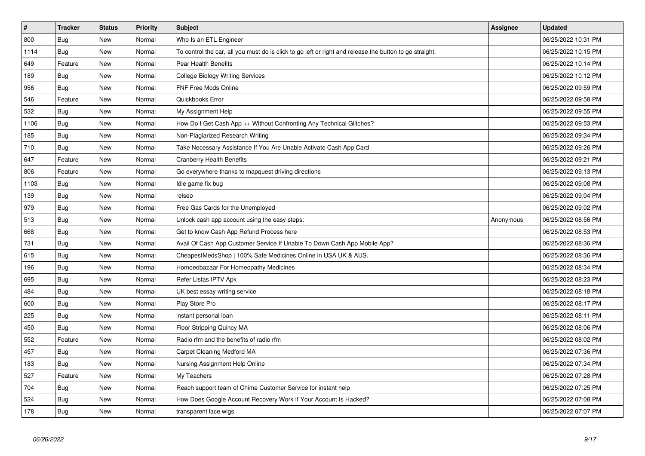| $\vert$ # | <b>Tracker</b> | <b>Status</b> | <b>Priority</b> | <b>Subject</b>                                                                                          | Assignee  | <b>Updated</b>      |
|-----------|----------------|---------------|-----------------|---------------------------------------------------------------------------------------------------------|-----------|---------------------|
| 800       | <b>Bug</b>     | New           | Normal          | Who Is an ETL Engineer                                                                                  |           | 06/25/2022 10:31 PM |
| 1114      | Bug            | New           | Normal          | To control the car, all you must do is click to go left or right and release the button to go straight. |           | 06/25/2022 10:15 PM |
| 649       | Feature        | <b>New</b>    | Normal          | Pear Health Benefits                                                                                    |           | 06/25/2022 10:14 PM |
| 189       | Bug            | New           | Normal          | College Biology Writing Services                                                                        |           | 06/25/2022 10:12 PM |
| 956       | Bug            | <b>New</b>    | Normal          | <b>FNF Free Mods Online</b>                                                                             |           | 06/25/2022 09:59 PM |
| 546       | Feature        | <b>New</b>    | Normal          | Quickbooks Error                                                                                        |           | 06/25/2022 09:58 PM |
| 532       | Bug            | New           | Normal          | My Assignment Help                                                                                      |           | 06/25/2022 09:55 PM |
| 1106      | <b>Bug</b>     | <b>New</b>    | Normal          | How Do I Get Cash App ++ Without Confronting Any Technical Glitches?                                    |           | 06/25/2022 09:53 PM |
| 185       | <b>Bug</b>     | <b>New</b>    | Normal          | Non-Plagiarized Research Writing                                                                        |           | 06/25/2022 09:34 PM |
| 710       | Bug            | New           | Normal          | Take Necessary Assistance If You Are Unable Activate Cash App Card                                      |           | 06/25/2022 09:26 PM |
| 647       | Feature        | New           | Normal          | Cranberry Health Benefits                                                                               |           | 06/25/2022 09:21 PM |
| 806       | Feature        | New           | Normal          | Go everywhere thanks to mapquest driving directions                                                     |           | 06/25/2022 09:13 PM |
| 1103      | <b>Bug</b>     | New           | Normal          | Idle game fix bug                                                                                       |           | 06/25/2022 09:08 PM |
| 139       | <b>Bug</b>     | New           | Normal          | relseo                                                                                                  |           | 06/25/2022 09:04 PM |
| 979       | Bug            | New           | Normal          | Free Gas Cards for the Unemployed                                                                       |           | 06/25/2022 09:02 PM |
| 513       | Bug            | New           | Normal          | Unlock cash app account using the easy steps:                                                           | Anonymous | 06/25/2022 08:56 PM |
| 668       | <b>Bug</b>     | New           | Normal          | Get to know Cash App Refund Process here                                                                |           | 06/25/2022 08:53 PM |
| 731       | Bug            | New           | Normal          | Avail Of Cash App Customer Service If Unable To Down Cash App Mobile App?                               |           | 06/25/2022 08:36 PM |
| 615       | <b>Bug</b>     | New           | Normal          | CheapestMedsShop   100% Safe Medicines Online in USA UK & AUS.                                          |           | 06/25/2022 08:36 PM |
| 196       | <b>Bug</b>     | New           | Normal          | Homoeobazaar For Homeopathy Medicines                                                                   |           | 06/25/2022 08:34 PM |
| 695       | <b>Bug</b>     | <b>New</b>    | Normal          | Refer Listas IPTV Apk                                                                                   |           | 06/25/2022 08:23 PM |
| 484       | Bug            | New           | Normal          | UK best essay writing service                                                                           |           | 06/25/2022 08:18 PM |
| 600       | <b>Bug</b>     | New           | Normal          | Play Store Pro                                                                                          |           | 06/25/2022 08:17 PM |
| 225       | Bug            | New           | Normal          | instant personal loan                                                                                   |           | 06/25/2022 08:11 PM |
| 450       | <b>Bug</b>     | <b>New</b>    | Normal          | Floor Stripping Quincy MA                                                                               |           | 06/25/2022 08:06 PM |
| 552       | Feature        | <b>New</b>    | Normal          | Radio rfm and the benefits of radio rfm                                                                 |           | 06/25/2022 08:02 PM |
| 457       | <b>Bug</b>     | New           | Normal          | <b>Carpet Cleaning Medford MA</b>                                                                       |           | 06/25/2022 07:36 PM |
| 183       | Bug            | <b>New</b>    | Normal          | Nursing Assignment Help Online                                                                          |           | 06/25/2022 07:34 PM |
| 527       | Feature        | <b>New</b>    | Normal          | My Teachers                                                                                             |           | 06/25/2022 07:28 PM |
| 704       | Bug            | <b>New</b>    | Normal          | Reach support team of Chime Customer Service for instant help                                           |           | 06/25/2022 07:25 PM |
| 524       | <b>Bug</b>     | <b>New</b>    | Normal          | How Does Google Account Recovery Work If Your Account Is Hacked?                                        |           | 06/25/2022 07:08 PM |
| 178       | <b>Bug</b>     | <b>New</b>    | Normal          | transparent lace wigs                                                                                   |           | 06/25/2022 07:07 PM |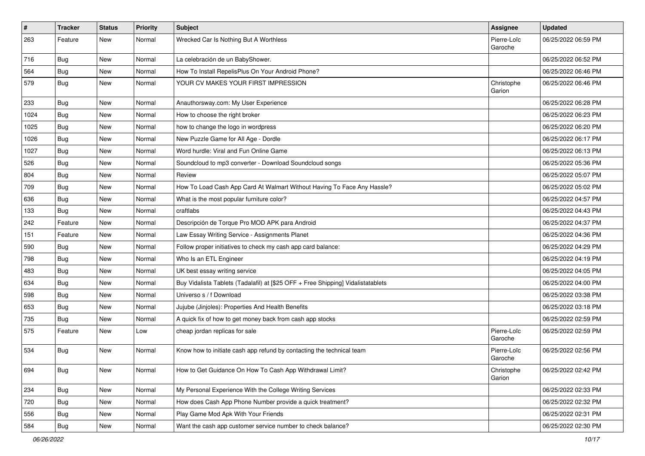| $\vert$ # | Tracker    | <b>Status</b> | <b>Priority</b> | <b>Subject</b>                                                                   | Assignee               | <b>Updated</b>      |
|-----------|------------|---------------|-----------------|----------------------------------------------------------------------------------|------------------------|---------------------|
| 263       | Feature    | New           | Normal          | Wrecked Car Is Nothing But A Worthless                                           | Pierre-Loïc<br>Garoche | 06/25/2022 06:59 PM |
| 716       | <b>Bug</b> | New           | Normal          | La celebración de un BabyShower.                                                 |                        | 06/25/2022 06:52 PM |
| 564       | <b>Bug</b> | New           | Normal          | How To Install RepelisPlus On Your Android Phone?                                |                        | 06/25/2022 06:46 PM |
| 579       | <b>Bug</b> | New           | Normal          | YOUR CV MAKES YOUR FIRST IMPRESSION                                              | Christophe<br>Garion   | 06/25/2022 06:46 PM |
| 233       | <b>Bug</b> | New           | Normal          | Anauthorsway.com: My User Experience                                             |                        | 06/25/2022 06:28 PM |
| 1024      | <b>Bug</b> | New           | Normal          | How to choose the right broker                                                   |                        | 06/25/2022 06:23 PM |
| 1025      | <b>Bug</b> | New           | Normal          | how to change the logo in wordpress                                              |                        | 06/25/2022 06:20 PM |
| 1026      | Bug        | New           | Normal          | New Puzzle Game for All Age - Dordle                                             |                        | 06/25/2022 06:17 PM |
| 1027      | <b>Bug</b> | New           | Normal          | Word hurdle: Viral and Fun Online Game                                           |                        | 06/25/2022 06:13 PM |
| 526       | <b>Bug</b> | New           | Normal          | Soundcloud to mp3 converter - Download Soundcloud songs                          |                        | 06/25/2022 05:36 PM |
| 804       | Bug        | New           | Normal          | Review                                                                           |                        | 06/25/2022 05:07 PM |
| 709       | <b>Bug</b> | New           | Normal          | How To Load Cash App Card At Walmart Without Having To Face Any Hassle?          |                        | 06/25/2022 05:02 PM |
| 636       | Bug        | New           | Normal          | What is the most popular furniture color?                                        |                        | 06/25/2022 04:57 PM |
| 133       | <b>Bug</b> | New           | Normal          | craftlabs                                                                        |                        | 06/25/2022 04:43 PM |
| 242       | Feature    | New           | Normal          | Descripción de Torque Pro MOD APK para Android                                   |                        | 06/25/2022 04:37 PM |
| 151       | Feature    | New           | Normal          | Law Essay Writing Service - Assignments Planet                                   |                        | 06/25/2022 04:36 PM |
| 590       | Bug        | New           | Normal          | Follow proper initiatives to check my cash app card balance:                     |                        | 06/25/2022 04:29 PM |
| 798       | Bug        | New           | Normal          | Who Is an ETL Engineer                                                           |                        | 06/25/2022 04:19 PM |
| 483       | <b>Bug</b> | New           | Normal          | UK best essay writing service                                                    |                        | 06/25/2022 04:05 PM |
| 634       | <b>Bug</b> | New           | Normal          | Buy Vidalista Tablets (Tadalafil) at [\$25 OFF + Free Shipping] Vidalistatablets |                        | 06/25/2022 04:00 PM |
| 598       | Bug        | New           | Normal          | Universo s / f Download                                                          |                        | 06/25/2022 03:38 PM |
| 653       | <b>Bug</b> | New           | Normal          | Jujube (Jinjoles): Properties And Health Benefits                                |                        | 06/25/2022 03:18 PM |
| 735       | Bug        | New           | Normal          | A quick fix of how to get money back from cash app stocks                        |                        | 06/25/2022 02:59 PM |
| 575       | Feature    | New           | Low             | cheap jordan replicas for sale                                                   | Pierre-Loïc<br>Garoche | 06/25/2022 02:59 PM |
| 534       | <b>Bug</b> | New           | Normal          | Know how to initiate cash app refund by contacting the technical team            | Pierre-Loïc<br>Garoche | 06/25/2022 02:56 PM |
| 694       | <b>Bug</b> | New           | Normal          | How to Get Guidance On How To Cash App Withdrawal Limit?                         | Christophe<br>Garion   | 06/25/2022 02:42 PM |
| 234       | Bug        | New           | Normal          | My Personal Experience With the College Writing Services                         |                        | 06/25/2022 02:33 PM |
| 720       | <b>Bug</b> | New           | Normal          | How does Cash App Phone Number provide a quick treatment?                        |                        | 06/25/2022 02:32 PM |
| 556       | <b>Bug</b> | New           | Normal          | Play Game Mod Apk With Your Friends                                              |                        | 06/25/2022 02:31 PM |
| 584       | Bug        | New           | Normal          | Want the cash app customer service number to check balance?                      |                        | 06/25/2022 02:30 PM |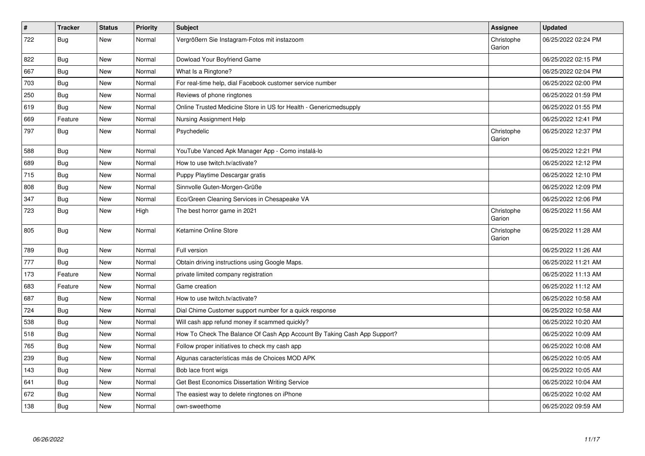| $\vert$ # | <b>Tracker</b> | <b>Status</b> | <b>Priority</b> | Subject                                                                  | Assignee             | <b>Updated</b>      |
|-----------|----------------|---------------|-----------------|--------------------------------------------------------------------------|----------------------|---------------------|
| 722       | <b>Bug</b>     | <b>New</b>    | Normal          | Vergrößern Sie Instagram-Fotos mit instazoom                             | Christophe<br>Garion | 06/25/2022 02:24 PM |
| 822       | <b>Bug</b>     | New           | Normal          | Dowload Your Boyfriend Game                                              |                      | 06/25/2022 02:15 PM |
| 667       | Bug            | New           | Normal          | What Is a Ringtone?                                                      |                      | 06/25/2022 02:04 PM |
| 703       | Bug            | New           | Normal          | For real-time help, dial Facebook customer service number                |                      | 06/25/2022 02:00 PM |
| 250       | Bug            | New           | Normal          | Reviews of phone ringtones                                               |                      | 06/25/2022 01:59 PM |
| 619       | Bug            | New           | Normal          | Online Trusted Medicine Store in US for Health - Genericmedsupply        |                      | 06/25/2022 01:55 PM |
| 669       | Feature        | New           | Normal          | Nursing Assignment Help                                                  |                      | 06/25/2022 12:41 PM |
| 797       | <b>Bug</b>     | New           | Normal          | Psychedelic                                                              | Christophe<br>Garion | 06/25/2022 12:37 PM |
| 588       | <b>Bug</b>     | <b>New</b>    | Normal          | YouTube Vanced Apk Manager App - Como instalá-lo                         |                      | 06/25/2022 12:21 PM |
| 689       | <b>Bug</b>     | <b>New</b>    | Normal          | How to use twitch.tv/activate?                                           |                      | 06/25/2022 12:12 PM |
| 715       | <b>Bug</b>     | New           | Normal          | Puppy Playtime Descargar gratis                                          |                      | 06/25/2022 12:10 PM |
| 808       | Bug            | New           | Normal          | Sinnvolle Guten-Morgen-Grüße                                             |                      | 06/25/2022 12:09 PM |
| 347       | <b>Bug</b>     | New           | Normal          | Eco/Green Cleaning Services in Chesapeake VA                             |                      | 06/25/2022 12:06 PM |
| 723       | <b>Bug</b>     | New           | High            | The best horror game in 2021                                             | Christophe<br>Garion | 06/25/2022 11:56 AM |
| 805       | Bug            | New           | Normal          | Ketamine Online Store                                                    | Christophe<br>Garion | 06/25/2022 11:28 AM |
| 789       | <b>Bug</b>     | New           | Normal          | Full version                                                             |                      | 06/25/2022 11:26 AM |
| 777       | Bug            | New           | Normal          | Obtain driving instructions using Google Maps.                           |                      | 06/25/2022 11:21 AM |
| 173       | Feature        | New           | Normal          | private limited company registration                                     |                      | 06/25/2022 11:13 AM |
| 683       | Feature        | <b>New</b>    | Normal          | Game creation                                                            |                      | 06/25/2022 11:12 AM |
| 687       | Bug            | <b>New</b>    | Normal          | How to use twitch.tv/activate?                                           |                      | 06/25/2022 10:58 AM |
| 724       | <b>Bug</b>     | New           | Normal          | Dial Chime Customer support number for a quick response                  |                      | 06/25/2022 10:58 AM |
| 538       | <b>Bug</b>     | New           | Normal          | Will cash app refund money if scammed quickly?                           |                      | 06/25/2022 10:20 AM |
| 518       | Bug            | New           | Normal          | How To Check The Balance Of Cash App Account By Taking Cash App Support? |                      | 06/25/2022 10:09 AM |
| 765       | Bug            | New           | Normal          | Follow proper initiatives to check my cash app                           |                      | 06/25/2022 10:08 AM |
| 239       | <b>Bug</b>     | New           | Normal          | Algunas características más de Choices MOD APK                           |                      | 06/25/2022 10:05 AM |
| 143       | Bug            | New           | Normal          | Bob lace front wigs                                                      |                      | 06/25/2022 10:05 AM |
| 641       | Bug            | New           | Normal          | Get Best Economics Dissertation Writing Service                          |                      | 06/25/2022 10:04 AM |
| 672       | Bug            | New           | Normal          | The easiest way to delete ringtones on iPhone                            |                      | 06/25/2022 10:02 AM |
| 138       | <b>Bug</b>     | New           | Normal          | own-sweethome                                                            |                      | 06/25/2022 09:59 AM |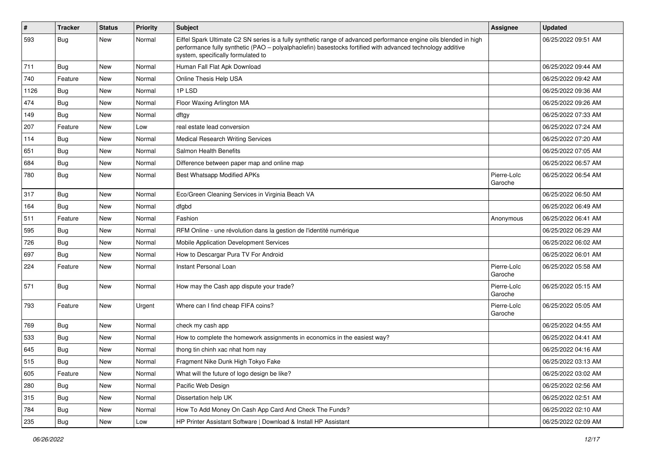| $\vert$ # | <b>Tracker</b> | <b>Status</b> | Priority | <b>Subject</b>                                                                                                                                                                                                                                                        | <b>Assignee</b>        | <b>Updated</b>      |
|-----------|----------------|---------------|----------|-----------------------------------------------------------------------------------------------------------------------------------------------------------------------------------------------------------------------------------------------------------------------|------------------------|---------------------|
| 593       | Bug            | New           | Normal   | Eiffel Spark Ultimate C2 SN series is a fully synthetic range of advanced performance engine oils blended in high<br>performance fully synthetic (PAO - polyalphaolefin) basestocks fortified with advanced technology additive<br>system, specifically formulated to |                        | 06/25/2022 09:51 AM |
| 711       | <b>Bug</b>     | New           | Normal   | Human Fall Flat Apk Download                                                                                                                                                                                                                                          |                        | 06/25/2022 09:44 AM |
| 740       | Feature        | New           | Normal   | Online Thesis Help USA                                                                                                                                                                                                                                                |                        | 06/25/2022 09:42 AM |
| 1126      | Bug            | New           | Normal   | 1PLSD                                                                                                                                                                                                                                                                 |                        | 06/25/2022 09:36 AM |
| 474       | <b>Bug</b>     | New           | Normal   | Floor Waxing Arlington MA                                                                                                                                                                                                                                             |                        | 06/25/2022 09:26 AM |
| 149       | <b>Bug</b>     | New           | Normal   | dftgy                                                                                                                                                                                                                                                                 |                        | 06/25/2022 07:33 AM |
| 207       | Feature        | New           | Low      | real estate lead conversion                                                                                                                                                                                                                                           |                        | 06/25/2022 07:24 AM |
| 114       | <b>Bug</b>     | New           | Normal   | <b>Medical Research Writing Services</b>                                                                                                                                                                                                                              |                        | 06/25/2022 07:20 AM |
| 651       | <b>Bug</b>     | New           | Normal   | Salmon Health Benefits                                                                                                                                                                                                                                                |                        | 06/25/2022 07:05 AM |
| 684       | <b>Bug</b>     | New           | Normal   | Difference between paper map and online map                                                                                                                                                                                                                           |                        | 06/25/2022 06:57 AM |
| 780       | Bug            | New           | Normal   | <b>Best Whatsapp Modified APKs</b>                                                                                                                                                                                                                                    | Pierre-Loïc<br>Garoche | 06/25/2022 06:54 AM |
| 317       | <b>Bug</b>     | New           | Normal   | Eco/Green Cleaning Services in Virginia Beach VA                                                                                                                                                                                                                      |                        | 06/25/2022 06:50 AM |
| 164       | Bug            | New           | Normal   | dfgbd                                                                                                                                                                                                                                                                 |                        | 06/25/2022 06:49 AM |
| 511       | Feature        | New           | Normal   | Fashion                                                                                                                                                                                                                                                               | Anonymous              | 06/25/2022 06:41 AM |
| 595       | Bug            | New           | Normal   | RFM Online - une révolution dans la gestion de l'identité numérique                                                                                                                                                                                                   |                        | 06/25/2022 06:29 AM |
| 726       | Bug            | New           | Normal   | Mobile Application Development Services                                                                                                                                                                                                                               |                        | 06/25/2022 06:02 AM |
| 697       | <b>Bug</b>     | New           | Normal   | How to Descargar Pura TV For Android                                                                                                                                                                                                                                  |                        | 06/25/2022 06:01 AM |
| 224       | Feature        | New           | Normal   | Instant Personal Loan                                                                                                                                                                                                                                                 | Pierre-Loïc<br>Garoche | 06/25/2022 05:58 AM |
| 571       | Bug            | New           | Normal   | How may the Cash app dispute your trade?                                                                                                                                                                                                                              | Pierre-Loïc<br>Garoche | 06/25/2022 05:15 AM |
| 793       | Feature        | New           | Urgent   | Where can I find cheap FIFA coins?                                                                                                                                                                                                                                    | Pierre-Loïc<br>Garoche | 06/25/2022 05:05 AM |
| 769       | <b>Bug</b>     | New           | Normal   | check my cash app                                                                                                                                                                                                                                                     |                        | 06/25/2022 04:55 AM |
| 533       | <b>Bug</b>     | New           | Normal   | How to complete the homework assignments in economics in the easiest way?                                                                                                                                                                                             |                        | 06/25/2022 04:41 AM |
| 645       | <b>Bug</b>     | New           | Normal   | thong tin chinh xac nhat hom nay                                                                                                                                                                                                                                      |                        | 06/25/2022 04:16 AM |
| 515       | Bug            | New           | Normal   | Fragment Nike Dunk High Tokyo Fake                                                                                                                                                                                                                                    |                        | 06/25/2022 03:13 AM |
| 605       | Feature        | New           | Normal   | What will the future of logo design be like?                                                                                                                                                                                                                          |                        | 06/25/2022 03:02 AM |
| 280       | Bug            | New           | Normal   | Pacific Web Design                                                                                                                                                                                                                                                    |                        | 06/25/2022 02:56 AM |
| 315       | <b>Bug</b>     | New           | Normal   | Dissertation help UK                                                                                                                                                                                                                                                  |                        | 06/25/2022 02:51 AM |
| 784       | <b>Bug</b>     | New           | Normal   | How To Add Money On Cash App Card And Check The Funds?                                                                                                                                                                                                                |                        | 06/25/2022 02:10 AM |
| 235       | <b>Bug</b>     | New           | Low      | HP Printer Assistant Software   Download & Install HP Assistant                                                                                                                                                                                                       |                        | 06/25/2022 02:09 AM |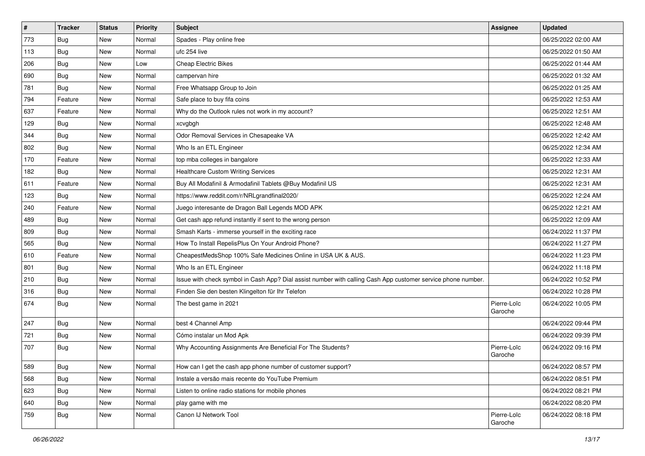| $\vert$ # | <b>Tracker</b> | <b>Status</b> | <b>Priority</b> | Subject                                                                                                      | <b>Assignee</b>        | <b>Updated</b>      |
|-----------|----------------|---------------|-----------------|--------------------------------------------------------------------------------------------------------------|------------------------|---------------------|
| 773       | <b>Bug</b>     | New           | Normal          | Spades - Play online free                                                                                    |                        | 06/25/2022 02:00 AM |
| 113       | Bug            | New           | Normal          | ufc 254 live                                                                                                 |                        | 06/25/2022 01:50 AM |
| 206       | Bug            | New           | Low             | <b>Cheap Electric Bikes</b>                                                                                  |                        | 06/25/2022 01:44 AM |
| 690       | <b>Bug</b>     | New           | Normal          | campervan hire                                                                                               |                        | 06/25/2022 01:32 AM |
| 781       | <b>Bug</b>     | New           | Normal          | Free Whatsapp Group to Join                                                                                  |                        | 06/25/2022 01:25 AM |
| 794       | Feature        | New           | Normal          | Safe place to buy fifa coins                                                                                 |                        | 06/25/2022 12:53 AM |
| 637       | Feature        | New           | Normal          | Why do the Outlook rules not work in my account?                                                             |                        | 06/25/2022 12:51 AM |
| 129       | Bug            | New           | Normal          | xcvgbgh                                                                                                      |                        | 06/25/2022 12:48 AM |
| 344       | <b>Bug</b>     | New           | Normal          | Odor Removal Services in Chesapeake VA                                                                       |                        | 06/25/2022 12:42 AM |
| 802       | Bug            | New           | Normal          | Who Is an ETL Engineer                                                                                       |                        | 06/25/2022 12:34 AM |
| 170       | Feature        | New           | Normal          | top mba colleges in bangalore                                                                                |                        | 06/25/2022 12:33 AM |
| 182       | Bug            | New           | Normal          | <b>Healthcare Custom Writing Services</b>                                                                    |                        | 06/25/2022 12:31 AM |
| 611       | Feature        | New           | Normal          | Buy All Modafinil & Armodafinil Tablets @Buy Modafinil US                                                    |                        | 06/25/2022 12:31 AM |
| 123       | Bug            | New           | Normal          | https://www.reddit.com/r/NRLgrandfinal2020/                                                                  |                        | 06/25/2022 12:24 AM |
| 240       | Feature        | New           | Normal          | Juego interesante de Dragon Ball Legends MOD APK                                                             |                        | 06/25/2022 12:21 AM |
| 489       | <b>Bug</b>     | New           | Normal          | Get cash app refund instantly if sent to the wrong person                                                    |                        | 06/25/2022 12:09 AM |
| 809       | Bug            | New           | Normal          | Smash Karts - immerse yourself in the exciting race                                                          |                        | 06/24/2022 11:37 PM |
| 565       | Bug            | New           | Normal          | How To Install RepelisPlus On Your Android Phone?                                                            |                        | 06/24/2022 11:27 PM |
| 610       | Feature        | New           | Normal          | CheapestMedsShop 100% Safe Medicines Online in USA UK & AUS.                                                 |                        | 06/24/2022 11:23 PM |
| 801       | Bug            | New           | Normal          | Who Is an ETL Engineer                                                                                       |                        | 06/24/2022 11:18 PM |
| 210       | Bug            | New           | Normal          | Issue with check symbol in Cash App? Dial assist number with calling Cash App customer service phone number. |                        | 06/24/2022 10:52 PM |
| 316       | Bug            | New           | Normal          | Finden Sie den besten Klingelton für Ihr Telefon                                                             |                        | 06/24/2022 10:28 PM |
| 674       | <b>Bug</b>     | New           | Normal          | The best game in 2021                                                                                        | Pierre-Loïc<br>Garoche | 06/24/2022 10:05 PM |
| 247       | <b>Bug</b>     | New           | Normal          | best 4 Channel Amp                                                                                           |                        | 06/24/2022 09:44 PM |
| 721       | Bug            | New           | Normal          | Cómo instalar un Mod Apk                                                                                     |                        | 06/24/2022 09:39 PM |
| 707       | <b>Bug</b>     | New           | Normal          | Why Accounting Assignments Are Beneficial For The Students?                                                  | Pierre-Loïc<br>Garoche | 06/24/2022 09:16 PM |
| 589       | Bug            | New           | Normal          | How can I get the cash app phone number of customer support?                                                 |                        | 06/24/2022 08:57 PM |
| 568       | <b>Bug</b>     | New           | Normal          | Instale a versão mais recente do YouTube Premium                                                             |                        | 06/24/2022 08:51 PM |
| 623       | Bug            | New           | Normal          | Listen to online radio stations for mobile phones                                                            |                        | 06/24/2022 08:21 PM |
| 640       | <b>Bug</b>     | New           | Normal          | play game with me                                                                                            |                        | 06/24/2022 08:20 PM |
| 759       | Bug            | New           | Normal          | Canon IJ Network Tool                                                                                        | Pierre-Loïc<br>Garoche | 06/24/2022 08:18 PM |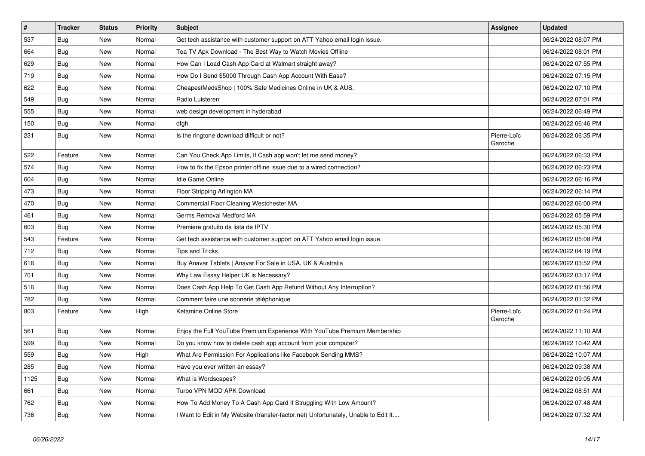| $\sharp$ | <b>Tracker</b> | <b>Status</b> | <b>Priority</b> | <b>Subject</b>                                                                      | <b>Assignee</b>        | <b>Updated</b>      |
|----------|----------------|---------------|-----------------|-------------------------------------------------------------------------------------|------------------------|---------------------|
| 537      | Bug            | New           | Normal          | Get tech assistance with customer support on ATT Yahoo email login issue.           |                        | 06/24/2022 08:07 PM |
| 664      | Bug            | <b>New</b>    | Normal          | Tea TV Apk Download - The Best Way to Watch Movies Offline                          |                        | 06/24/2022 08:01 PM |
| 629      | Bug            | <b>New</b>    | Normal          | How Can I Load Cash App Card at Walmart straight away?                              |                        | 06/24/2022 07:55 PM |
| 719      | Bug            | New           | Normal          | How Do I Send \$5000 Through Cash App Account With Ease?                            |                        | 06/24/2022 07:15 PM |
| 622      | Bug            | <b>New</b>    | Normal          | CheapestMedsShop   100% Safe Medicines Online in UK & AUS.                          |                        | 06/24/2022 07:10 PM |
| 549      | Bug            | <b>New</b>    | Normal          | Radio Luisteren                                                                     |                        | 06/24/2022 07:01 PM |
| 555      | Bug            | <b>New</b>    | Normal          | web design development in hyderabad                                                 |                        | 06/24/2022 06:49 PM |
| 150      | Bug            | New           | Normal          | dfgh                                                                                |                        | 06/24/2022 06:46 PM |
| 231      | Bug            | New           | Normal          | Is the ringtone download difficult or not?                                          | Pierre-Loïc<br>Garoche | 06/24/2022 06:35 PM |
| 522      | Feature        | New           | Normal          | Can You Check App Limits, If Cash app won't let me send money?                      |                        | 06/24/2022 06:33 PM |
| 574      | Bug            | New           | Normal          | How to fix the Epson printer offline issue due to a wired connection?               |                        | 06/24/2022 06:23 PM |
| 604      | <b>Bug</b>     | New           | Normal          | Idle Game Online                                                                    |                        | 06/24/2022 06:16 PM |
| 473      | <b>Bug</b>     | New           | Normal          | Floor Stripping Arlington MA                                                        |                        | 06/24/2022 06:14 PM |
| 470      | Bug            | New           | Normal          | Commercial Floor Cleaning Westchester MA                                            |                        | 06/24/2022 06:00 PM |
| 461      | <b>Bug</b>     | New           | Normal          | Germs Removal Medford MA                                                            |                        | 06/24/2022 05:59 PM |
| 603      | Bug            | New           | Normal          | Premiere gratuito da lista de IPTV                                                  |                        | 06/24/2022 05:30 PM |
| 543      | Feature        | New           | Normal          | Get tech assistance with customer support on ATT Yahoo email login issue.           |                        | 06/24/2022 05:08 PM |
| 712      | Bug            | New           | Normal          | Tips and Tricks                                                                     |                        | 06/24/2022 04:19 PM |
| 616      | Bug            | New           | Normal          | Buy Anavar Tablets   Anavar For Sale in USA, UK & Australia                         |                        | 06/24/2022 03:52 PM |
| 701      | Bug            | New           | Normal          | Why Law Essay Helper UK is Necessary?                                               |                        | 06/24/2022 03:17 PM |
| 516      | Bug            | New           | Normal          | Does Cash App Help To Get Cash App Refund Without Any Interruption?                 |                        | 06/24/2022 01:56 PM |
| 782      | Bug            | New           | Normal          | Comment faire une sonnerie téléphonique                                             |                        | 06/24/2022 01:32 PM |
| 803      | Feature        | New           | High            | Ketamine Online Store                                                               | Pierre-Loïc<br>Garoche | 06/24/2022 01:24 PM |
| 561      | Bug            | <b>New</b>    | Normal          | Enjoy the Full YouTube Premium Experience With YouTube Premium Membership           |                        | 06/24/2022 11:10 AM |
| 599      | Bug            | New           | Normal          | Do you know how to delete cash app account from your computer?                      |                        | 06/24/2022 10:42 AM |
| 559      | Bug            | New           | High            | What Are Permission For Applications like Facebook Sending MMS?                     |                        | 06/24/2022 10:07 AM |
| 285      | Bug            | New           | Normal          | Have you ever written an essay?                                                     |                        | 06/24/2022 09:38 AM |
| 1125     | Bug            | New           | Normal          | What is Wordscapes?                                                                 |                        | 06/24/2022 09:05 AM |
| 661      | Bug            | New           | Normal          | Turbo VPN MOD APK Download                                                          |                        | 06/24/2022 08:51 AM |
| 762      | Bug            | New           | Normal          | How To Add Money To A Cash App Card If Struggling With Low Amount?                  |                        | 06/24/2022 07:48 AM |
| 736      | Bug            | New           | Normal          | I Want to Edit in My Website (transfer-factor.net) Unfortunately, Unable to Edit It |                        | 06/24/2022 07:32 AM |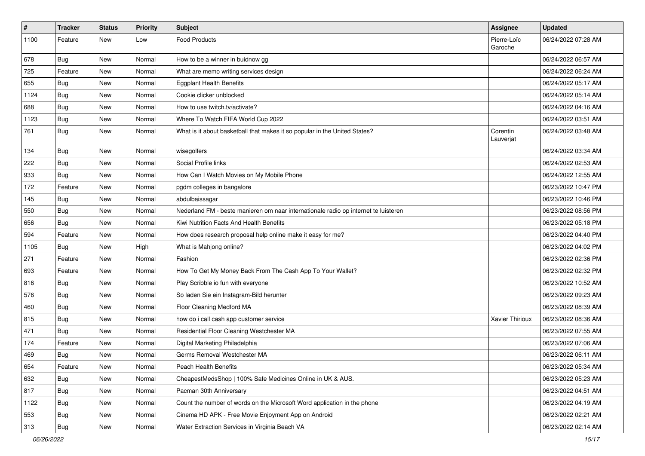| $\vert$ # | <b>Tracker</b> | <b>Status</b> | <b>Priority</b> | Subject                                                                             | Assignee               | <b>Updated</b>      |
|-----------|----------------|---------------|-----------------|-------------------------------------------------------------------------------------|------------------------|---------------------|
| 1100      | Feature        | New           | Low             | <b>Food Products</b>                                                                | Pierre-Loïc<br>Garoche | 06/24/2022 07:28 AM |
| 678       | Bug            | New           | Normal          | How to be a winner in buidnow gg                                                    |                        | 06/24/2022 06:57 AM |
| 725       | Feature        | New           | Normal          | What are memo writing services design                                               |                        | 06/24/2022 06:24 AM |
| 655       | Bug            | New           | Normal          | <b>Eggplant Health Benefits</b>                                                     |                        | 06/24/2022 05:17 AM |
| 1124      | Bug            | New           | Normal          | Cookie clicker unblocked                                                            |                        | 06/24/2022 05:14 AM |
| 688       | Bug            | New           | Normal          | How to use twitch.tv/activate?                                                      |                        | 06/24/2022 04:16 AM |
| 1123      | Bug            | New           | Normal          | Where To Watch FIFA World Cup 2022                                                  |                        | 06/24/2022 03:51 AM |
| 761       | <b>Bug</b>     | New           | Normal          | What is it about basketball that makes it so popular in the United States?          | Corentin<br>Lauverjat  | 06/24/2022 03:48 AM |
| 134       | Bug            | New           | Normal          | wisegolfers                                                                         |                        | 06/24/2022 03:34 AM |
| 222       | <b>Bug</b>     | New           | Normal          | Social Profile links                                                                |                        | 06/24/2022 02:53 AM |
| 933       | Bug            | New           | Normal          | How Can I Watch Movies on My Mobile Phone                                           |                        | 06/24/2022 12:55 AM |
| 172       | Feature        | New           | Normal          | pgdm colleges in bangalore                                                          |                        | 06/23/2022 10:47 PM |
| 145       | Bug            | New           | Normal          | abdulbaissagar                                                                      |                        | 06/23/2022 10:46 PM |
| 550       | Bug            | New           | Normal          | Nederland FM - beste manieren om naar internationale radio op internet te luisteren |                        | 06/23/2022 08:56 PM |
| 656       | <b>Bug</b>     | New           | Normal          | Kiwi Nutrition Facts And Health Benefits                                            |                        | 06/23/2022 05:18 PM |
| 594       | Feature        | New           | Normal          | How does research proposal help online make it easy for me?                         |                        | 06/23/2022 04:40 PM |
| 1105      | <b>Bug</b>     | New           | High            | What is Mahjong online?                                                             |                        | 06/23/2022 04:02 PM |
| 271       | Feature        | New           | Normal          | Fashion                                                                             |                        | 06/23/2022 02:36 PM |
| 693       | Feature        | New           | Normal          | How To Get My Money Back From The Cash App To Your Wallet?                          |                        | 06/23/2022 02:32 PM |
| 816       | <b>Bug</b>     | New           | Normal          | Play Scribble io fun with everyone                                                  |                        | 06/23/2022 10:52 AM |
| 576       | Bug            | New           | Normal          | So laden Sie ein Instagram-Bild herunter                                            |                        | 06/23/2022 09:23 AM |
| 460       | Bug            | New           | Normal          | Floor Cleaning Medford MA                                                           |                        | 06/23/2022 08:39 AM |
| 815       | Bug            | New           | Normal          | how do i call cash app customer service                                             | Xavier Thirioux        | 06/23/2022 08:36 AM |
| 471       | <b>Bug</b>     | New           | Normal          | Residential Floor Cleaning Westchester MA                                           |                        | 06/23/2022 07:55 AM |
| 174       | Feature        | New           | Normal          | Digital Marketing Philadelphia                                                      |                        | 06/23/2022 07:06 AM |
| 469       | Bug            | New           | Normal          | Germs Removal Westchester MA                                                        |                        | 06/23/2022 06:11 AM |
| 654       | Feature        | New           | Normal          | <b>Peach Health Benefits</b>                                                        |                        | 06/23/2022 05:34 AM |
| 632       | <b>Bug</b>     | New           | Normal          | CheapestMedsShop   100% Safe Medicines Online in UK & AUS.                          |                        | 06/23/2022 05:23 AM |
| 817       | Bug            | New           | Normal          | Pacman 30th Anniversary                                                             |                        | 06/23/2022 04:51 AM |
| 1122      | <b>Bug</b>     | New           | Normal          | Count the number of words on the Microsoft Word application in the phone            |                        | 06/23/2022 04:19 AM |
| 553       | Bug            | New           | Normal          | Cinema HD APK - Free Movie Enjoyment App on Android                                 |                        | 06/23/2022 02:21 AM |
| 313       | <b>Bug</b>     | New           | Normal          | Water Extraction Services in Virginia Beach VA                                      |                        | 06/23/2022 02:14 AM |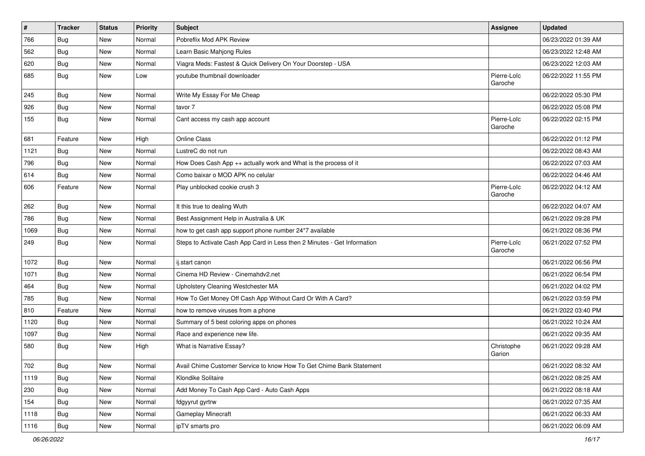| $\vert$ # | <b>Tracker</b> | <b>Status</b> | <b>Priority</b> | Subject                                                                  | Assignee               | <b>Updated</b>      |
|-----------|----------------|---------------|-----------------|--------------------------------------------------------------------------|------------------------|---------------------|
| 766       | <b>Bug</b>     | New           | Normal          | Pobreflix Mod APK Review                                                 |                        | 06/23/2022 01:39 AM |
| 562       | <b>Bug</b>     | New           | Normal          | Learn Basic Mahjong Rules                                                |                        | 06/23/2022 12:48 AM |
| 620       | Bug            | New           | Normal          | Viagra Meds: Fastest & Quick Delivery On Your Doorstep - USA             |                        | 06/23/2022 12:03 AM |
| 685       | <b>Bug</b>     | New           | Low             | youtube thumbnail downloader                                             | Pierre-Loïc<br>Garoche | 06/22/2022 11:55 PM |
| 245       | Bug            | New           | Normal          | Write My Essay For Me Cheap                                              |                        | 06/22/2022 05:30 PM |
| 926       | <b>Bug</b>     | New           | Normal          | tavor 7                                                                  |                        | 06/22/2022 05:08 PM |
| 155       | <b>Bug</b>     | New           | Normal          | Cant access my cash app account                                          | Pierre-Loïc<br>Garoche | 06/22/2022 02:15 PM |
| 681       | Feature        | New           | High            | <b>Online Class</b>                                                      |                        | 06/22/2022 01:12 PM |
| 1121      | <b>Bug</b>     | New           | Normal          | LustreC do not run                                                       |                        | 06/22/2022 08:43 AM |
| 796       | <b>Bug</b>     | New           | Normal          | How Does Cash App ++ actually work and What is the process of it         |                        | 06/22/2022 07:03 AM |
| 614       | Bug            | New           | Normal          | Como baixar o MOD APK no celular                                         |                        | 06/22/2022 04:46 AM |
| 606       | Feature        | New           | Normal          | Play unblocked cookie crush 3                                            | Pierre-Loïc<br>Garoche | 06/22/2022 04:12 AM |
| 262       | <b>Bug</b>     | <b>New</b>    | Normal          | It this true to dealing Wuth                                             |                        | 06/22/2022 04:07 AM |
| 786       | Bug            | New           | Normal          | Best Assignment Help in Australia & UK                                   |                        | 06/21/2022 09:28 PM |
| 1069      | <b>Bug</b>     | <b>New</b>    | Normal          | how to get cash app support phone number 24*7 available                  |                        | 06/21/2022 08:36 PM |
| 249       | Bug            | New           | Normal          | Steps to Activate Cash App Card in Less then 2 Minutes - Get Information | Pierre-Loïc<br>Garoche | 06/21/2022 07:52 PM |
| 1072      | Bug            | New           | Normal          | ij.start canon                                                           |                        | 06/21/2022 06:56 PM |
| 1071      | <b>Bug</b>     | New           | Normal          | Cinema HD Review - Cinemahdv2.net                                        |                        | 06/21/2022 06:54 PM |
| 464       | Bug            | New           | Normal          | Upholstery Cleaning Westchester MA                                       |                        | 06/21/2022 04:02 PM |
| 785       | <b>Bug</b>     | New           | Normal          | How To Get Money Off Cash App Without Card Or With A Card?               |                        | 06/21/2022 03:59 PM |
| 810       | Feature        | New           | Normal          | how to remove viruses from a phone                                       |                        | 06/21/2022 03:40 PM |
| 1120      | Bug            | New           | Normal          | Summary of 5 best coloring apps on phones                                |                        | 06/21/2022 10:24 AM |
| 1097      | <b>Bug</b>     | New           | Normal          | Race and experience new life.                                            |                        | 06/21/2022 09:35 AM |
| 580       | <b>Bug</b>     | New           | High            | What is Narrative Essay?                                                 | Christophe<br>Garion   | 06/21/2022 09:28 AM |
| 702       | Bug            | New           | Normal          | Avail Chime Customer Service to know How To Get Chime Bank Statement     |                        | 06/21/2022 08:32 AM |
| 1119      | Bug            | New           | Normal          | Klondike Solitaire                                                       |                        | 06/21/2022 08:25 AM |
| 230       | Bug            | New           | Normal          | Add Money To Cash App Card - Auto Cash Apps                              |                        | 06/21/2022 08:18 AM |
| 154       | <b>Bug</b>     | New           | Normal          | fdgyyrut gyrtrw                                                          |                        | 06/21/2022 07:35 AM |
| 1118      | Bug            | New           | Normal          | Gameplay Minecraft                                                       |                        | 06/21/2022 06:33 AM |
| 1116      | <b>Bug</b>     | New           | Normal          | ipTV smarts pro                                                          |                        | 06/21/2022 06:09 AM |